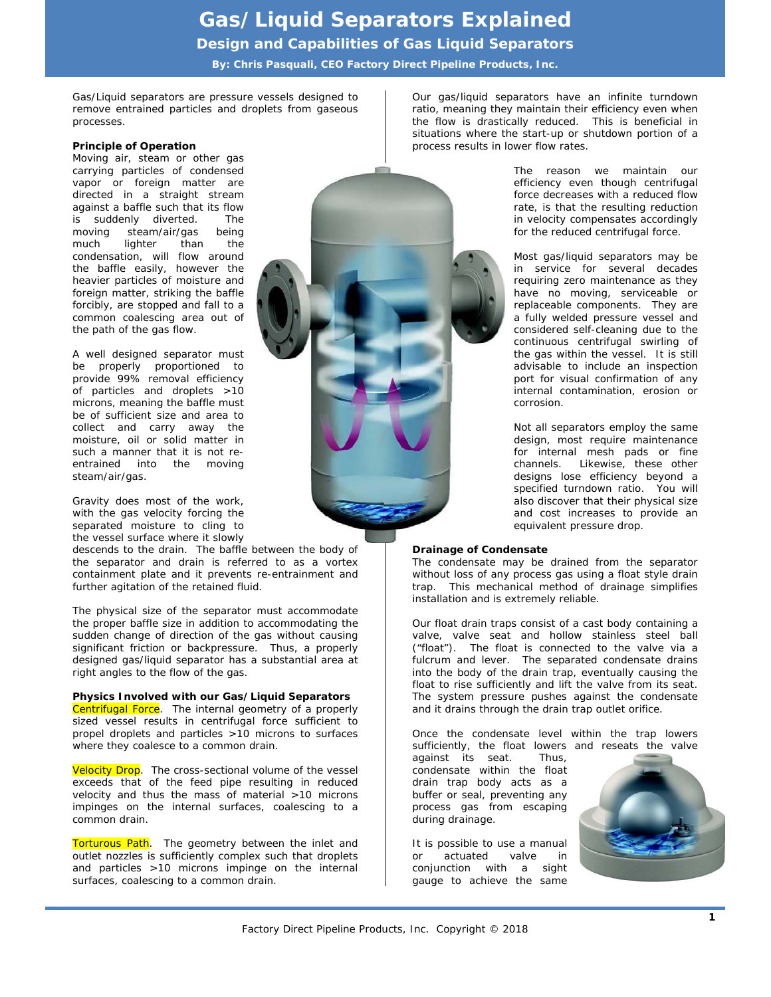## **Gas/Liquid Separators Explained**

*Design and Capabilities of Gas Liquid Separators* 

**By: Chris Pasquali, CEO Factory Direct Pipeline Products, Inc.** 

Gas/Liquid separators are pressure vessels designed to remove entrained particles and droplets from gaseous processes.

## **Principle of Operation**

Moving air, steam or other gas carrying particles of condensed vapor or foreign matter are directed in a straight stream against a baffle such that its flow is suddenly diverted. The moving steam/air/gas being much lighter than the condensation, will flow around the baffle easily, however the heavier particles of moisture and foreign matter, striking the baffle forcibly, are stopped and fall to a common coalescing area out of the path of the gas flow.

A well designed separator must be properly proportioned to provide 99% removal efficiency of particles and droplets >10 microns, meaning the baffle must be of sufficient size and area to collect and carry away the moisture, oil or solid matter in such a manner that it is not reentrained into the moving steam/air/gas.

Gravity does most of the work, with the gas velocity forcing the separated moisture to cling to the vessel surface where it slowly

descends to the drain. The baffle between the body of the separator and drain is referred to as a vortex containment plate and it prevents re-entrainment and further agitation of the retained fluid.

The physical size of the separator must accommodate the proper baffle size in addition to accommodating the sudden change of direction of the gas without causing significant friction or backpressure. Thus, a properly designed gas/liquid separator has a substantial area at right angles to the flow of the gas.

#### **Physics Involved with our Gas/Liquid Separators**

Centrifugal Force. The internal geometry of a properly sized vessel results in centrifugal force sufficient to propel droplets and particles >10 microns to surfaces where they coalesce to a common drain.

Velocity Drop. The cross-sectional volume of the vessel exceeds that of the feed pipe resulting in reduced velocity and thus the mass of material >10 microns impinges on the internal surfaces, coalescing to a common drain.

Torturous Path. The geometry between the inlet and outlet nozzles is sufficiently complex such that droplets and particles >10 microns impinge on the internal surfaces, coalescing to a common drain.



Our gas/liquid separators have an infinite turndown ratio, meaning they maintain their efficiency even when the flow is drastically reduced. This is beneficial in situations where the start-up or shutdown portion of a process results in lower flow rates.

> The reason we maintain our efficiency even though centrifugal force decreases with a reduced flow rate, is that the resulting reduction in velocity compensates accordingly for the reduced centrifugal force.

> Most gas/liquid separators may be in service for several decades requiring zero maintenance as they have no moving, serviceable or replaceable components. They are a fully welded pressure vessel and considered self-cleaning due to the continuous centrifugal swirling of the gas within the vessel. It is still advisable to include an inspection port for visual confirmation of any internal contamination, erosion or corrosion.

> Not all separators employ the same design, most require maintenance for internal mesh pads or fine channels. Likewise, these other designs lose efficiency beyond a specified turndown ratio. You will also discover that their physical size and cost increases to provide an equivalent pressure drop.

#### **Drainage of Condensate**

The condensate may be drained from the separator without loss of any process gas using a float style drain trap. This mechanical method of drainage simplifies installation and is extremely reliable.

Our float drain traps consist of a cast body containing a valve, valve seat and hollow stainless steel ball ("float"). The float is connected to the valve via a fulcrum and lever. The separated condensate drains into the body of the drain trap, eventually causing the float to rise sufficiently and lift the valve from its seat. The system pressure pushes against the condensate and it drains through the drain trap outlet orifice.

Once the condensate level within the trap lowers sufficiently, the float lowers and reseats the valve

against its seat. Thus, condensate within the float drain trap body acts as a buffer or seal, preventing any process gas from escaping during drainage.

It is possible to use a manual or actuated valve in conjunction with a sight gauge to achieve the same